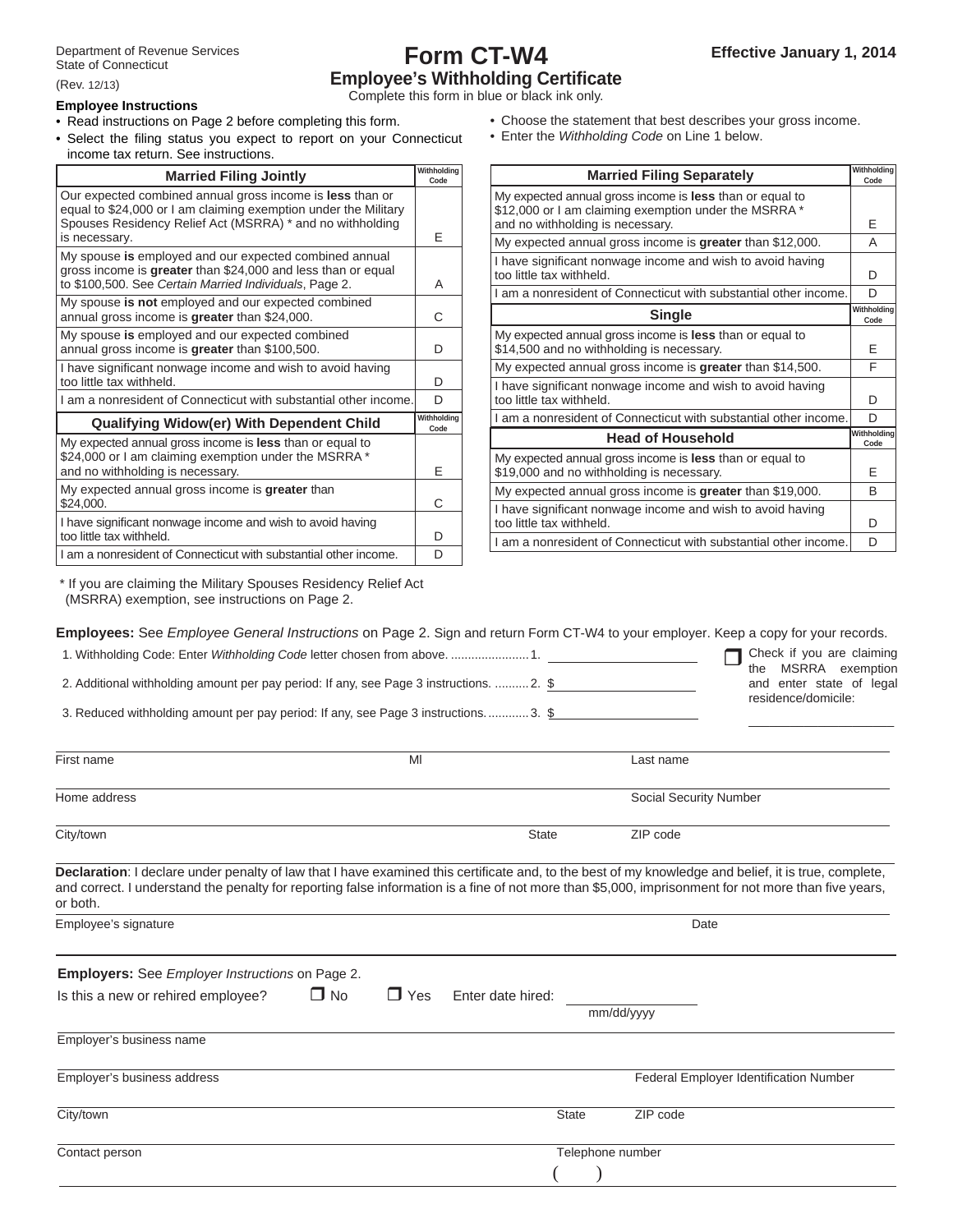# **Form CT-W4 Employee's Withholding Certifi cate** Complete this form in blue or black ink only.

(Rev. 12/13)

## **Employee Instructions**

• Read instructions on Page 2 before completing this form.

• Select the filing status you expect to report on your Connecticut income tax return. See instructions.

| <b>Married Filing Jointly</b>                                                                                                                                                             | Withholding<br>Code | <b>Married Filing Separately</b>                                                                                                                             | Withhold<br>Code |
|-------------------------------------------------------------------------------------------------------------------------------------------------------------------------------------------|---------------------|--------------------------------------------------------------------------------------------------------------------------------------------------------------|------------------|
| Our expected combined annual gross income is less than or<br>equal to \$24,000 or I am claiming exemption under the Military<br>Spouses Residency Relief Act (MSRRA) * and no withholding |                     | My expected annual gross income is <b>less</b> than or equal to<br>\$12,000 or I am claiming exemption under the MSRRA *<br>and no withholding is necessary. | Ε                |
| is necessary.                                                                                                                                                                             | Е                   | My expected annual gross income is greater than \$12,000.                                                                                                    | A                |
| My spouse is employed and our expected combined annual<br>gross income is greater than \$24,000 and less than or equal<br>to \$100,500. See Certain Married Individuals, Page 2.          | A                   | I have significant nonwage income and wish to avoid having<br>too little tax withheld.                                                                       | D                |
| My spouse is not employed and our expected combined                                                                                                                                       |                     | am a nonresident of Connecticut with substantial other income.                                                                                               | D                |
| annual gross income is greater than \$24,000.                                                                                                                                             | С                   | <b>Single</b>                                                                                                                                                | Withhold<br>Code |
| My spouse is employed and our expected combined<br>annual gross income is greater than \$100,500.                                                                                         | D                   | My expected annual gross income is less than or equal to<br>\$14,500 and no withholding is necessary.                                                        | Ε                |
| I have significant nonwage income and wish to avoid having                                                                                                                                |                     | My expected annual gross income is greater than \$14,500.                                                                                                    | F                |
| too little tax withheld.                                                                                                                                                                  | D                   | I have significant nonwage income and wish to avoid having                                                                                                   |                  |
| am a nonresident of Connecticut with substantial other income.                                                                                                                            | D                   | too little tax withheld.                                                                                                                                     | D                |
| <b>Qualifying Widow(er) With Dependent Child</b>                                                                                                                                          | Withholding<br>Code | am a nonresident of Connecticut with substantial other income.                                                                                               | D                |
| My expected annual gross income is less than or equal to                                                                                                                                  |                     | <b>Head of Household</b>                                                                                                                                     | Withhold<br>Code |
| \$24,000 or I am claiming exemption under the MSRRA *<br>and no withholding is necessary.                                                                                                 | E                   | My expected annual gross income is less than or equal to<br>\$19,000 and no withholding is necessary.                                                        | Ε                |
| My expected annual gross income is greater than                                                                                                                                           |                     | My expected annual gross income is greater than \$19,000.                                                                                                    | B                |
| \$24,000.<br>I have significant nonwage income and wish to avoid having                                                                                                                   | С                   | I have significant nonwage income and wish to avoid having<br>too little tax withheld.                                                                       | D                |
| too little tax withheld.                                                                                                                                                                  | D                   | am a nonresident of Connecticut with substantial other income.                                                                                               | D                |
| I am a nonresident of Connecticut with substantial other income.                                                                                                                          | D.                  |                                                                                                                                                              |                  |

- Choose the statement that best describes your gross income.
- Enter the *Withholding Code* on Line 1 below.

| <b>Married Filing Separately</b>                                                                                         | Withholding<br>Code |
|--------------------------------------------------------------------------------------------------------------------------|---------------------|
| My expected annual gross income is <b>less</b> than or equal to<br>\$12,000 or I am claiming exemption under the MSRRA * |                     |
| and no withholding is necessary.                                                                                         | E                   |
| My expected annual gross income is greater than \$12,000.                                                                | Α                   |
| I have significant nonwage income and wish to avoid having<br>too little tax withheld.                                   | D                   |
| I am a nonresident of Connecticut with substantial other income.                                                         | D                   |
| <b>Single</b>                                                                                                            | Withholding<br>Code |
| My expected annual gross income is less than or equal to<br>\$14,500 and no withholding is necessary.                    | F                   |
| My expected annual gross income is greater than \$14,500.                                                                | F                   |
| I have significant nonwage income and wish to avoid having<br>too little tax withheld.                                   | D                   |
| I am a nonresident of Connecticut with substantial other income.                                                         | D                   |
| <b>Head of Household</b>                                                                                                 | Withholding<br>Code |
| My expected annual gross income is less than or equal to<br>\$19,000 and no withholding is necessary.                    | F                   |
| My expected annual gross income is greater than \$19,000.                                                                | B                   |
| I have significant nonwage income and wish to avoid having<br>too little tax withheld.                                   | D                   |
| I am a nonresident of Connecticut with substantial other income.                                                         | D                   |

\* If you are claiming the Military Spouses Residency Relief Act (MSRRA) exemption, see instructions on Page 2.

**Employees:** See *Employee General Instructions* on Page 2. Sign and return Form CT-W4 to your employer. Keep a copy for your records.

| 1. Withholding Code: Enter Withholding Code letter chosen from above.  1.                                                                                                                                                                                                                                                |                         |                   | Check if you are claiming<br>MSRRA exemption<br>the |
|--------------------------------------------------------------------------------------------------------------------------------------------------------------------------------------------------------------------------------------------------------------------------------------------------------------------------|-------------------------|-------------------|-----------------------------------------------------|
| 2. Additional withholding amount per pay period: If any, see Page 3 instructions.  2. \$                                                                                                                                                                                                                                 |                         |                   | and enter state of legal                            |
| 3. Reduced withholding amount per pay period: If any, see Page 3 instructions3. \$                                                                                                                                                                                                                                       |                         |                   | residence/domicile:                                 |
| First name                                                                                                                                                                                                                                                                                                               | MI                      |                   | Last name                                           |
| Home address                                                                                                                                                                                                                                                                                                             |                         |                   | <b>Social Security Number</b>                       |
| City/town                                                                                                                                                                                                                                                                                                                |                         | State             | ZIP code                                            |
| Declaration: I declare under penalty of law that I have examined this certificate and, to the best of my knowledge and belief, it is true, complete,<br>and correct. I understand the penalty for reporting false information is a fine of not more than \$5,000, imprisonment for not more than five years,<br>or both. |                         |                   |                                                     |
| Employee's signature                                                                                                                                                                                                                                                                                                     |                         |                   | Date                                                |
| <b>Employers:</b> See <i>Employer Instructions</i> on Page 2.                                                                                                                                                                                                                                                            |                         |                   |                                                     |
| Is this a new or rehired employee?                                                                                                                                                                                                                                                                                       | $\Box$ No<br>$\Box$ Yes | Enter date hired: | mm/dd/yyyy                                          |
| Employer's business name                                                                                                                                                                                                                                                                                                 |                         |                   |                                                     |
| Employer's business address                                                                                                                                                                                                                                                                                              |                         |                   | Federal Employer Identification Number              |
| City/town                                                                                                                                                                                                                                                                                                                |                         | <b>State</b>      | ZIP code                                            |
| Contact person                                                                                                                                                                                                                                                                                                           |                         | Telephone number  |                                                     |
|                                                                                                                                                                                                                                                                                                                          |                         |                   |                                                     |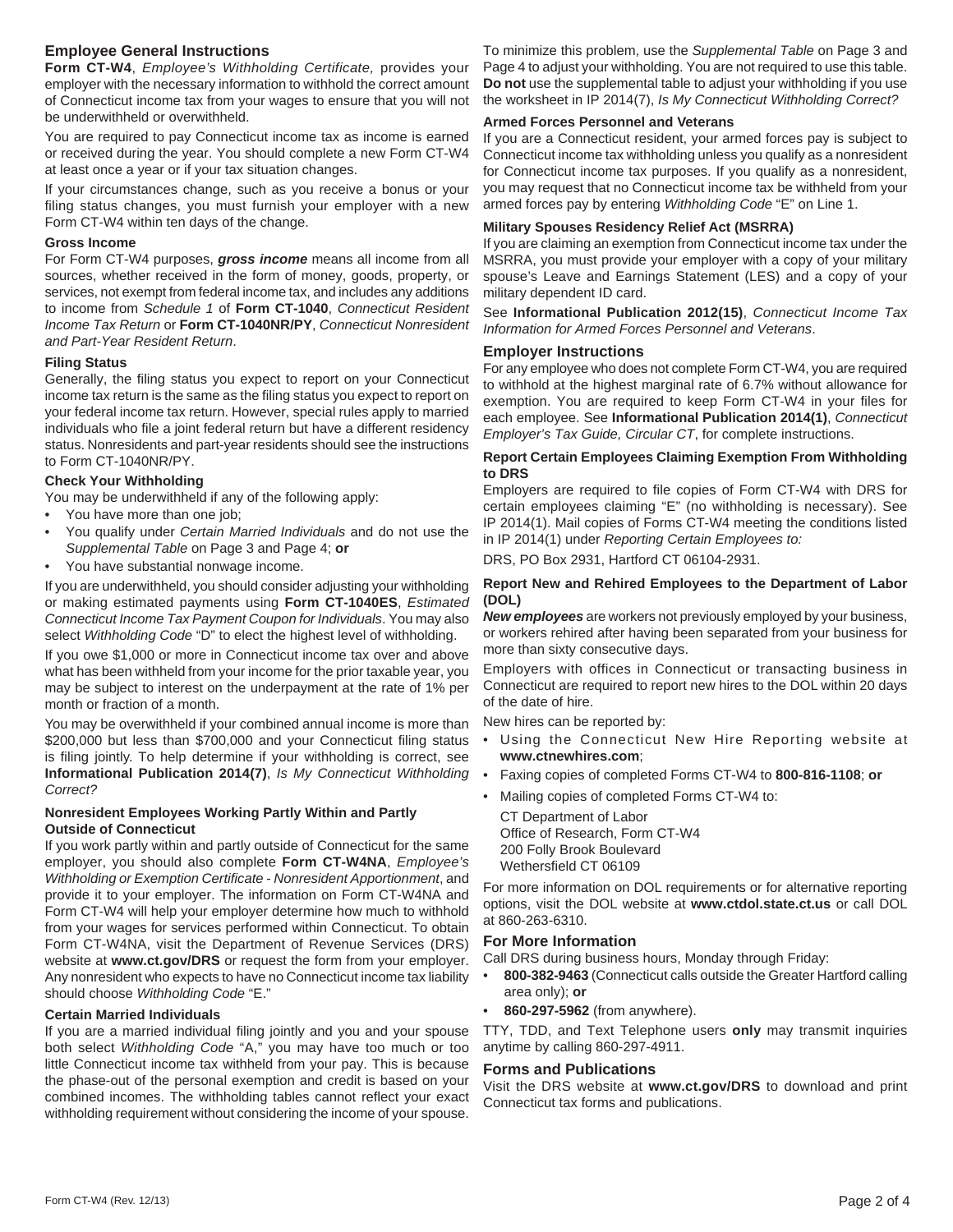## **Employee General Instructions**

**Form CT-W4**, *Employee's Withholding Certificate,* provides your employer with the necessary information to withhold the correct amount of Connecticut income tax from your wages to ensure that you will not be underwithheld or overwithheld.

You are required to pay Connecticut income tax as income is earned or received during the year. You should complete a new Form CT-W4 at least once a year or if your tax situation changes.

If your circumstances change, such as you receive a bonus or your filing status changes, you must furnish your employer with a new Form CT-W4 within ten days of the change.

## **Gross Income**

For Form CT-W4 purposes, *gross income* means all income from all sources, whether received in the form of money, goods, property, or services, not exempt from federal income tax, and includes any additions to income from *Schedule 1* of **Form CT-1040**, *Connecticut Resident Income Tax Return* or **Form CT-1040NR/PY**, *Connecticut Nonresident and Part-Year Resident Return*.

## **Filing Status**

Generally, the filing status you expect to report on your Connecticut income tax return is the same as the filing status you expect to report on your federal income tax return. However, special rules apply to married individuals who file a joint federal return but have a different residency status. Nonresidents and part-year residents should see the instructions to Form CT-1040NR/PY.

## **Check Your Withholding**

You may be underwithheld if any of the following apply:

- You have more than one job;
- You qualify under *Certain Married Individuals* and do not use the *Supplemental Table* on Page 3 and Page 4; **or**
- You have substantial nonwage income.

If you are underwithheld, you should consider adjusting your withholding or making estimated payments using **Form CT-1040ES**, *Estimated Connecticut Income Tax Payment Coupon for Individuals*. You may also select *Withholding Code* "D" to elect the highest level of withholding.

If you owe \$1,000 or more in Connecticut income tax over and above what has been withheld from your income for the prior taxable year, you may be subject to interest on the underpayment at the rate of 1% per month or fraction of a month.

You may be overwithheld if your combined annual income is more than \$200,000 but less than \$700,000 and your Connecticut filing status is filing jointly. To help determine if your withholding is correct, see **Informational Publication 2014(7)**, *Is My Connecticut Withholding Correct?*

## **Nonresident Employees Working Partly Within and Partly Outside of Connecticut**

If you work partly within and partly outside of Connecticut for the same employer, you should also complete **Form CT-W4NA**, *Employee's Withholding or Exemption Certificate - Nonresident Apportionment, and* provide it to your employer. The information on Form CT-W4NA and Form CT-W4 will help your employer determine how much to withhold from your wages for services performed within Connecticut. To obtain Form CT-W4NA, visit the Department of Revenue Services (DRS) website at **www.ct.gov/DRS** or request the form from your employer. Any nonresident who expects to have no Connecticut income tax liability should choose *Withholding Code* "E."

## **Certain Married Individuals**

If you are a married individual filing jointly and you and your spouse both select *Withholding Code* "A," you may have too much or too little Connecticut income tax withheld from your pay. This is because the phase-out of the personal exemption and credit is based on your combined incomes. The withholding tables cannot reflect your exact withholding requirement without considering the income of your spouse.

To minimize this problem, use the *Supplemental Table* on Page 3 and Page 4 to adjust your withholding. You are not required to use this table. **Do not** use the supplemental table to adjust your withholding if you use the worksheet in IP 2014(7), *Is My Connecticut Withholding Correct?*

#### **Armed Forces Personnel and Veterans**

If you are a Connecticut resident, your armed forces pay is subject to Connecticut income tax withholding unless you qualify as a nonresident for Connecticut income tax purposes. If you qualify as a nonresident, you may request that no Connecticut income tax be withheld from your armed forces pay by entering *Withholding Code* "E" on Line 1.

## **Military Spouses Residency Relief Act (MSRRA)**

If you are claiming an exemption from Connecticut income tax under the MSRRA, you must provide your employer with a copy of your military spouse's Leave and Earnings Statement (LES) and a copy of your military dependent ID card.

See **Informational Publication 2012(15)**, *Connecticut Income Tax Information for Armed Forces Personnel and Veterans*.

## **Employer Instructions**

For any employee who does not complete Form CT-W4, you are required to withhold at the highest marginal rate of 6.7% without allowance for exemption. You are required to keep Form CT-W4 in your files for each employee. See **Informational Publication 2014(1)**, *Connecticut Employer's Tax Guide, Circular CT*, for complete instructions.

## **Report Certain Employees Claiming Exemption From Withholding to DRS**

Employers are required to file copies of Form CT-W4 with DRS for certain employees claiming "E" (no withholding is necessary). See IP 2014(1). Mail copies of Forms CT-W4 meeting the conditions listed in IP 2014(1) under *Reporting Certain Employees to:*

DRS, PO Box 2931, Hartford CT 06104-2931.

## **Report New and Rehired Employees to the Department of Labor (DOL)**

*New employees* are workers not previously employed by your business, or workers rehired after having been separated from your business for more than sixty consecutive days.

Employers with offices in Connecticut or transacting business in Connecticut are required to report new hires to the DOL within 20 days of the date of hire.

New hires can be reported by:

- Using the Connecticut New Hire Reporting website at **www.ctnewhires.com**;
- Faxing copies of completed Forms CT-W4 to **800-816-1108**; **or**
- Mailing copies of completed Forms CT-W4 to: CT Department of Labor Office of Research, Form CT-W4 200 Folly Brook Boulevard Wethersfield CT 06109

For more information on DOL requirements or for alternative reporting options, visit the DOL website at **www.ctdol.state.ct.us** or call DOL at 860-263-6310.

## **For More Information**

Call DRS during business hours, Monday through Friday:

- **800-382-9463** (Connecticut calls outside the Greater Hartford calling area only); **or**
- **860-297-5962** (from anywhere).

TTY, TDD, and Text Telephone users **only** may transmit inquiries anytime by calling 860-297-4911.

## **Forms and Publications**

Visit the DRS website at **www.ct.gov/DRS** to download and print Connecticut tax forms and publications.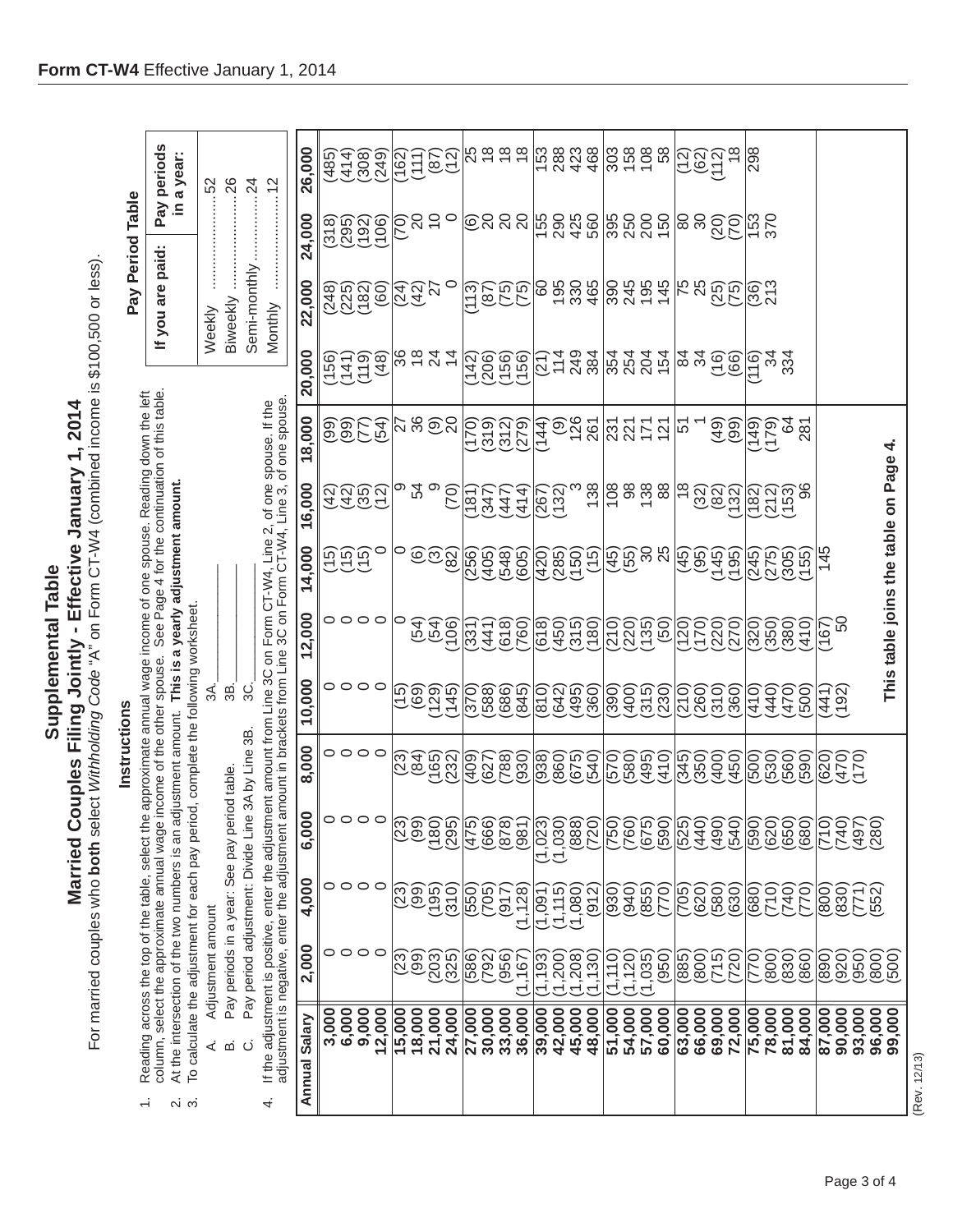Married Couples Filing Jointly - Effective January 1, 2014 **Married Couples Filing Jointly - Effective January 1, 2014** Supplemental Table **Supplemental Table** 

For married couples who **both** select *Withholding Code* "A" on Form CT-W4 (combined income is \$100,500 or less). For married couples who **both** select *Withholding Code* "A" on Form CT-W4 (combined income is \$100,500 or less).

| Insulatio |                                                                                  |
|-----------|----------------------------------------------------------------------------------|
|           | iss the top of the table, select the approximate annual wage income of one spous |
|           |                                                                                  |
|           |                                                                                  |
|           |                                                                                  |
|           |                                                                                  |
|           |                                                                                  |

- Reading across the top of the table, select the approximate annual wage income of one spouse. Reading down the left<br>column, select the approximate annual wage income of the other spouse. See Page 4 for the continuation of  $\div$ 
	- $\ddot{\alpha}$ 
		-
	- At the intersection of the two numbers is an adjustment amount. This is a yearly adjustment amount.<br>To calculate the adjustment for each pay period, complete the following worksheet.
		- $\overline{39}$  $3A$ . Pay periods in a year: See pay period table. Adjustment amount  $\dot{\leq}$  as  $\dot{\cup}$
- ဒ္တင္ Pay period adjustment: Divide Line 3A by Line 3B.
- $\epsilon$ **CT WM** ú  $\frac{1}{2}$  $\frac{1}{2}$ .<br>ت  $\frac{1}{2}$ þ ia al-

| Pay Period Table | If you are paid:   Pay periods                                                                                                                                                                                                                  | in a year:                                                                                                                                                                                                     | Weekly                      |                                                    | Semi-monthly 24                                           |                                                                                                                                                                                                                                                          |
|------------------|-------------------------------------------------------------------------------------------------------------------------------------------------------------------------------------------------------------------------------------------------|----------------------------------------------------------------------------------------------------------------------------------------------------------------------------------------------------------------|-----------------------------|----------------------------------------------------|-----------------------------------------------------------|----------------------------------------------------------------------------------------------------------------------------------------------------------------------------------------------------------------------------------------------------------|
| Instructions     | column, select the approximate annual wage income of the other spouse. See Page 4 for the continuation of this table.<br>1. Reading across the top of the table, select the approximate annual wage income of one spouse. Reading down the left | At the intersection of the two numbers is an adjustment amount. This is a yearly adjustment amount.<br>To calculate the adjustment for each pay period, complete the following worksheet.<br>ო.<br>ო<br>.<br>N | 3A.<br>A. Adjustment amount | ஐ்<br>Pay periods in a year: See pay period table. | ပ္တဲ<br>Pay period adjustment: Divide Line 3A by Line 3B. | adjustment is negative, enter the adjustment amount in brackets from Line 3C on Form CT-W4, Line 3, of one spouse.<br>If the adjustment is positive, enter the adjustment amount from Line 3C on Form CT-W4, Line 2, of one spouse. If the<br>$\ddot{4}$ |

| Annual Salary    | 2,000       | 4,000                | 6,000                         | 8,000                   | 10,000                    | 12,000                     | 14,000                        | 16,000                                                                                                                                                                                                                                                                                                                                                                                   | 18,000                           | 20,000                             | 22,000                  | 24,000                  | 26,000                                                                                                                                          |
|------------------|-------------|----------------------|-------------------------------|-------------------------|---------------------------|----------------------------|-------------------------------|------------------------------------------------------------------------------------------------------------------------------------------------------------------------------------------------------------------------------------------------------------------------------------------------------------------------------------------------------------------------------------------|----------------------------------|------------------------------------|-------------------------|-------------------------|-------------------------------------------------------------------------------------------------------------------------------------------------|
|                  |             |                      |                               |                         |                           |                            |                               |                                                                                                                                                                                                                                                                                                                                                                                          |                                  |                                    |                         |                         | (485)                                                                                                                                           |
| 3,000<br>6,000   | ○           | 0000                 | 0000                          | 0000                    | 0000                      | 0000                       | ດດດດ<br>ປັບປົ                 | ลิลิติลิ<br>4405                                                                                                                                                                                                                                                                                                                                                                         | <b>99559</b><br>9955             | <b><i>CHEA</i></b><br>2452<br>2572 |                         | (318)<br>(395)<br>(192) | (414)                                                                                                                                           |
| 9,000            | $\circ$     |                      |                               |                         |                           |                            |                               |                                                                                                                                                                                                                                                                                                                                                                                          |                                  |                                    |                         |                         | (308)                                                                                                                                           |
| 12,000           |             |                      |                               |                         |                           |                            |                               |                                                                                                                                                                                                                                                                                                                                                                                          |                                  |                                    |                         | (106)                   | (249)                                                                                                                                           |
| 15,000           |             |                      | (23)                          |                         |                           | O                          |                               |                                                                                                                                                                                                                                                                                                                                                                                          |                                  |                                    |                         |                         |                                                                                                                                                 |
| 18,000           | <u>(၁၅)</u> |                      | (99)                          |                         |                           |                            |                               | ၈ ႙ ၈                                                                                                                                                                                                                                                                                                                                                                                    |                                  |                                    |                         |                         |                                                                                                                                                 |
| 21,000           | (203)       |                      | (180)                         |                         |                           | (54)                       |                               |                                                                                                                                                                                                                                                                                                                                                                                          |                                  |                                    | <u>ସ୍ତୁ</u><br>ବିଧି     |                         |                                                                                                                                                 |
| 24,000           | (325)       | (310)                | (295)                         | <u>ପ୍ରକାସ<br/>ଅକ୍ଟମ</u> |                           | (301)                      | $\mid^{\circ}$ <u>စေ</u> က္လွ | (70)                                                                                                                                                                                                                                                                                                                                                                                     | $\approx 8$ ១៑ $\approx$         |                                    | $\circ$                 | ခြွေများ                | 162)<br>1110<br>1110                                                                                                                            |
| 27,000           | 586)        | (550)                | (475)                         | (604)                   | (370)                     | (331)                      |                               | 181                                                                                                                                                                                                                                                                                                                                                                                      |                                  |                                    |                         |                         |                                                                                                                                                 |
| 30,000           | (792)       | (705)                |                               | (627)                   |                           | (441)                      |                               | $\frac{1}{2}47$                                                                                                                                                                                                                                                                                                                                                                          | ်ခဲ့ပါ<br>(၁) ၁) ၁)<br>(၁) ၁) ၁) |                                    |                         |                         | 56666                                                                                                                                           |
| 33,000           | (956)       |                      |                               |                         |                           | (618)                      |                               |                                                                                                                                                                                                                                                                                                                                                                                          |                                  |                                    |                         |                         |                                                                                                                                                 |
| 36,000           | (1, 167)    | $(317)$<br>$(1,128)$ | $(666)$<br>$(878)$<br>$(981)$ |                         |                           | 760)                       |                               | (414)                                                                                                                                                                                                                                                                                                                                                                                    |                                  |                                    |                         |                         |                                                                                                                                                 |
| 39,000           | 1,193       | 1,091                | (1,023)                       |                         |                           | (618)                      |                               |                                                                                                                                                                                                                                                                                                                                                                                          | (14)<br>44                       |                                    |                         |                         |                                                                                                                                                 |
|                  | (1, 200)    | (1, 115)             | (1,030)                       |                         |                           |                            |                               |                                                                                                                                                                                                                                                                                                                                                                                          |                                  |                                    |                         |                         |                                                                                                                                                 |
| 42,000<br>45,000 | (1,208)     | (1,080)              | (888)                         |                         |                           |                            |                               |                                                                                                                                                                                                                                                                                                                                                                                          |                                  |                                    |                         |                         |                                                                                                                                                 |
| 48,000           | (1, 130)    | (912)                | (720)                         |                         | 000000<br>000000<br>00000 | (150)<br>1500<br>1500      | <br> ၃၈၀၀<br>  <u>५</u> ०८    |                                                                                                                                                                                                                                                                                                                                                                                          | 9267                             |                                    |                         |                         | $\frac{15}{10}$ $\frac{28}{10}$ $\frac{26}{10}$ $\frac{26}{10}$ $\frac{26}{10}$ $\frac{26}{10}$ $\frac{26}{10}$ $\frac{26}{10}$ $\frac{26}{10}$ |
| 51,000           | (1, 110)    | (930)                | (750)                         |                         | (390)                     |                            |                               |                                                                                                                                                                                                                                                                                                                                                                                          | <u> 영업 등 등</u>                   | <u>នៃទីទី</u>                      |                         |                         |                                                                                                                                                 |
| 54,000           | (1, 120)    | $(0 + 6)$            | (760)                         |                         |                           |                            |                               |                                                                                                                                                                                                                                                                                                                                                                                          |                                  |                                    |                         |                         |                                                                                                                                                 |
| 57,000           | (1,035)     | (855)                | (675)<br>(590)                |                         |                           | ออิตอิ<br>การแล้ว<br>อิต   |                               |                                                                                                                                                                                                                                                                                                                                                                                          |                                  |                                    |                         |                         |                                                                                                                                                 |
| 60,000           | (950)       | (012)                |                               |                         | ម្ម <u>សិ</u> ហ្គ<br>(១២១ |                            | မြစ္မွ မွ မွ                  | $\left[\frac{1}{2} \sum_{n=1}^{\infty} \frac{1}{2} \sum_{n=1}^{\infty} \frac{1}{2} \sum_{n=1}^{\infty} \frac{1}{2} \sum_{n=1}^{\infty} \frac{1}{2} \sum_{n=1}^{\infty} \frac{1}{2} \sum_{n=1}^{\infty} \frac{1}{2} \sum_{n=1}^{\infty} \frac{1}{2} \sum_{n=1}^{\infty} \frac{1}{2} \sum_{n=1}^{\infty} \frac{1}{2} \sum_{n=1}^{\infty} \frac{1}{2} \sum_{n=1}^{\infty} \frac{1}{2} \sum$ |                                  |                                    |                         | <br> 8608<br> 081       |                                                                                                                                                 |
| 63,000           | (885)       | 705)                 | (525)                         |                         |                           |                            | မြစ်မှု<br>(၁၉၈၈)<br>(၁၉၈၈)   | ∣జ                                                                                                                                                                                                                                                                                                                                                                                       | ∣ù                               | $ 222 \oplus 22$                   |                         | မြို့ မွ                | ၉၈၁                                                                                                                                             |
| 66,000           | (800)       | (620)                | (440)                         | ဖြစ်ခဲ့မှ<br>မလိုင်း    | 000<br> 2000<br> 2010     |                            |                               |                                                                                                                                                                                                                                                                                                                                                                                          |                                  |                                    |                         |                         |                                                                                                                                                 |
|                  | (51)        | (580)                | (190)                         |                         |                           |                            |                               |                                                                                                                                                                                                                                                                                                                                                                                          |                                  |                                    |                         |                         |                                                                                                                                                 |
| 69,000<br>72,000 | 720         | (630)                | (540)                         |                         | 360)                      |                            |                               | $(32)$<br>$(82)$                                                                                                                                                                                                                                                                                                                                                                         | 99                               |                                    | $\frac{188822}{128425}$ | ရွိခို                  |                                                                                                                                                 |
| 75,000           | 770         | <b>680</b>           | (590)                         |                         | 410                       | $(320)$<br>$(350)$         |                               | (182)<br>(12)<br>(153)                                                                                                                                                                                                                                                                                                                                                                   |                                  | $\frac{1}{10}$                     | 86<br>213               | 153<br>370              | 298                                                                                                                                             |
| 78,000           | (800)       | (710)                | (620)<br>(650)                | 600)<br>600<br>600      |                           |                            |                               |                                                                                                                                                                                                                                                                                                                                                                                          | (149)<br>(179)                   |                                    |                         |                         |                                                                                                                                                 |
| 81,000           | (830)       | (740)                |                               |                         | $\frac{470}{470}$         | (380)                      | 9995<br>4795<br>9995          |                                                                                                                                                                                                                                                                                                                                                                                          | $rac{28}{20}$                    | 334                                |                         |                         |                                                                                                                                                 |
| 84,000           | 860)        | (770)                | (080)                         | 590)                    | 500)                      | (410)                      |                               | `၆                                                                                                                                                                                                                                                                                                                                                                                       |                                  |                                    |                         |                         |                                                                                                                                                 |
| 87,000           | 890         | (800)                | (017)                         |                         | 192)<br>192)              | (167)                      | 145                           |                                                                                                                                                                                                                                                                                                                                                                                          |                                  |                                    |                         |                         |                                                                                                                                                 |
| 90,000           | (920)       | (830)                | 740)                          | 0025<br>0025<br>0035    |                           | SO                         |                               |                                                                                                                                                                                                                                                                                                                                                                                          |                                  |                                    |                         |                         |                                                                                                                                                 |
| 93,000<br>96,000 | (950)       | (77)                 | (197)                         |                         |                           |                            |                               |                                                                                                                                                                                                                                                                                                                                                                                          |                                  |                                    |                         |                         |                                                                                                                                                 |
| 99,000           | (008<br>500 | (552)                |                               |                         |                           | This table joins the table |                               | on Page                                                                                                                                                                                                                                                                                                                                                                                  | 4                                |                                    |                         |                         |                                                                                                                                                 |
|                  |             |                      |                               |                         |                           |                            |                               |                                                                                                                                                                                                                                                                                                                                                                                          |                                  |                                    |                         |                         |                                                                                                                                                 |

Pay periods<br>in a year: